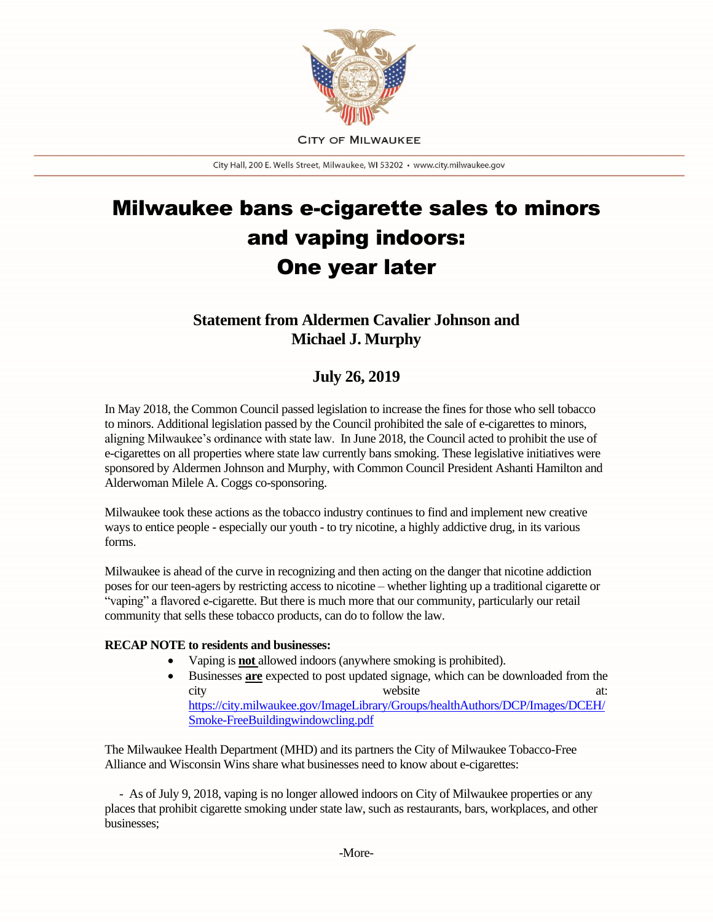

**CITY OF MILWAUKEE** 

City Hall, 200 E. Wells Street, Milwaukee, WI 53202 · www.city.milwaukee.gov

## Milwaukee bans e-cigarette sales to minors and vaping indoors: One year later

## **Statement from Aldermen Cavalier Johnson and Michael J. Murphy**

## **July 26, 2019**

In May 2018, the Common Council passed legislation to increase the fines for those who sell tobacco to minors. Additional legislation passed by the Council prohibited the sale of e-cigarettes to minors, aligning Milwaukee's ordinance with state law. In June 2018, the Council acted to prohibit the use of e-cigarettes on all properties where state law currently bans smoking. These legislative initiatives were sponsored by Aldermen Johnson and Murphy, with Common Council President Ashanti Hamilton and Alderwoman Milele A. Coggs co-sponsoring.

Milwaukee took these actions as the tobacco industry continues to find and implement new creative ways to entice people - especially our youth - to try nicotine, a highly addictive drug, in its various forms.

Milwaukee is ahead of the curve in recognizing and then acting on the danger that nicotine addiction poses for our teen-agers by restricting access to nicotine – whether lighting up a traditional cigarette or "vaping" a flavored e-cigarette. But there is much more that our community, particularly our retail community that sells these tobacco products, can do to follow the law.

## **RECAP NOTE to residents and businesses:**

- Vaping is **not** allowed indoors (anywhere smoking is prohibited).
- Businesses **are** expected to post updated signage, which can be downloaded from the city website at: [https://city.milwaukee.gov/ImageLibrary/Groups/healthAuthors/DCP/Images/DCEH/](https://city.milwaukee.gov/ImageLibrary/Groups/healthAuthors/DCP/Images/DCEH/Smoke-FreeBuildingwindowcling.pdf) [Smoke-FreeBuildingwindowcling.pdf](https://city.milwaukee.gov/ImageLibrary/Groups/healthAuthors/DCP/Images/DCEH/Smoke-FreeBuildingwindowcling.pdf)

The Milwaukee Health Department (MHD) and its partners the City of Milwaukee Tobacco-Free Alliance and Wisconsin Wins share what businesses need to know about e-cigarettes:

 - As of July 9, 2018, vaping is no longer allowed indoors on City of Milwaukee properties or any places that prohibit cigarette smoking under state law, such as restaurants, bars, workplaces, and other businesses;